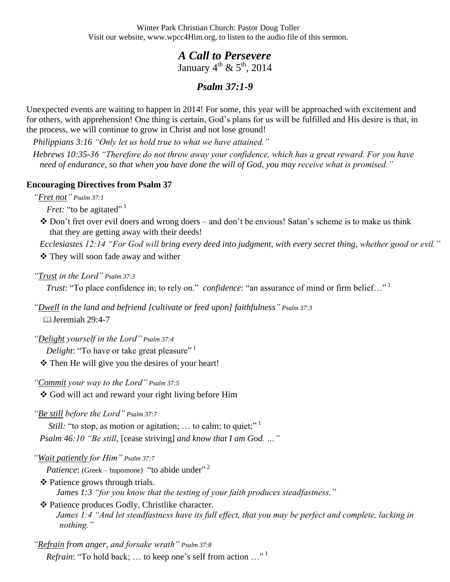Winter Park Christian Church: Pastor Doug Toller Visit our website, www.wpcc4Him.org, to listen to the audio file of this sermon.

## *A Call to Persevere*  January  $4^{\text{th}}$  &  $5^{\text{th}}$ , 2014

## *Psalm 37:1-9*

Unexpected events are waiting to happen in 2014! For some, this year will be approached with excitement and for others, with apprehension! One thing is certain, God's plans for us will be fulfilled and His desire is that, in the process, we will continue to grow in Christ and not lose ground!

*Philippians 3:16 "Only let us hold true to what we have attained."*

*Hebrews 10:35-36 "Therefore do not throw away your confidence, which has a great reward. For you have need of endurance, so that when you have done the will of God, you may receive what is promised."*

## **Encouraging Directives from Psalm 37**

*"Fret not" Psalm 37:1*

*Fret:* "to be agitated"<sup>1</sup>

 Don't fret over evil doers and wrong doers – and don't be envious! Satan's scheme is to make us think that they are getting away with their deeds!

*Ecclesiastes 12:14 "For God will bring every deed into judgment, with every secret thing, whether good or evil."*

**❖** They will soon fade away and wither

*"Trust in the Lord" Psalm 37:3*

*Trust*: "To place confidence in; to rely on." *confidence*: "an assurance of mind or firm belief..."<sup>1</sup>

*"Dwell in the land and befriend [cultivate or feed upon] faithfulness" Psalm 37:3* Jeremiah 29:4-7

*"Delight yourself in the Lord" Psalm 37:4*

*Delight*: "To have or take great pleasure"<sup>1</sup>

\* Then He will give you the desires of your heart!

*"Commit your way to the Lord" Psalm 37:5*

God will act and reward your right living before Him

*"Be still before the Lord" Psalm 37:7*

*Still:* "to stop, as motion or agitation; ... to calm; to quiet;"<sup>1</sup> *Psalm 46:10 "Be still,* [cease striving] *and know that I am God. …"*

*"Wait patiently for Him" Psalm 37:7*

*Patience*: (Greek – hupomone) "to abide under"<sup>2</sup>

 Patience grows through trials. *James 1:3 "for you know that the testing of your faith produces steadfastness."*

 Patience produces Godly, Christlike character. *James 1:4 "And let steadfastness have its full effect, that you may be perfect and complete, lacking in nothing."*

*"Refrain from anger, and forsake wrath" Psalm 37:8 Refrain*: "To hold back; ... to keep one's self from action ..."<sup>1</sup>